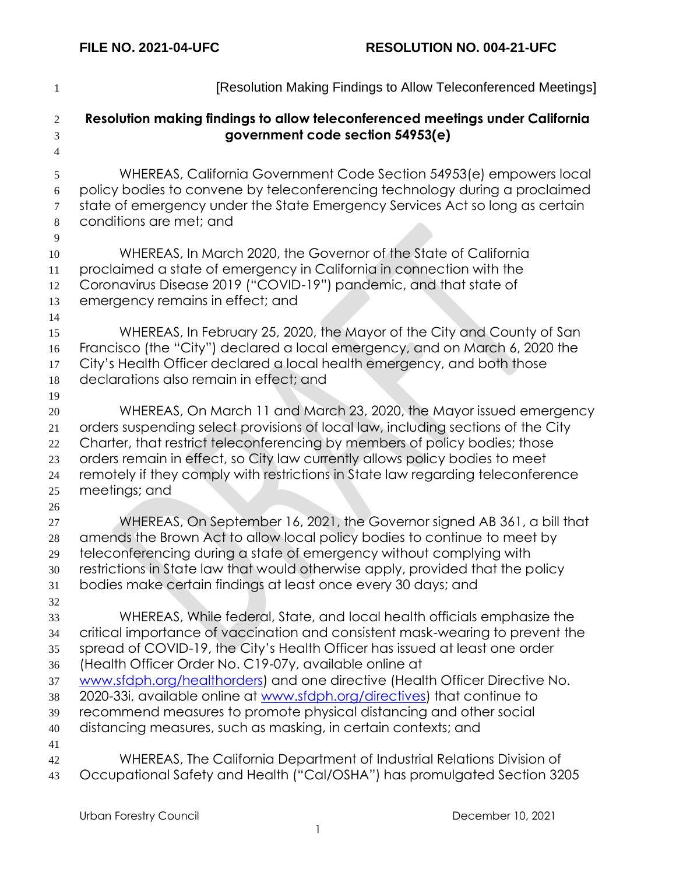| $\mathbf{1}$                                       | [Resolution Making Findings to Allow Teleconferenced Meetings]                                                                                                                                                                                                                                                                                                                                                                                                                                                                                                                                       |
|----------------------------------------------------|------------------------------------------------------------------------------------------------------------------------------------------------------------------------------------------------------------------------------------------------------------------------------------------------------------------------------------------------------------------------------------------------------------------------------------------------------------------------------------------------------------------------------------------------------------------------------------------------------|
| $\overline{2}$<br>3<br>$\overline{4}$              | Resolution making findings to allow teleconferenced meetings under California<br>government code section 54953(e)                                                                                                                                                                                                                                                                                                                                                                                                                                                                                    |
| 5<br>6<br>$\tau$                                   | WHEREAS, California Government Code Section 54953(e) empowers local<br>policy bodies to convene by teleconferencing technology during a proclaimed<br>state of emergency under the State Emergency Services Act so long as certain                                                                                                                                                                                                                                                                                                                                                                   |
| $\,8\,$<br>9                                       | conditions are met; and                                                                                                                                                                                                                                                                                                                                                                                                                                                                                                                                                                              |
| 10<br>11<br>12<br>13<br>14                         | WHEREAS, In March 2020, the Governor of the State of California<br>proclaimed a state of emergency in California in connection with the<br>Coronavirus Disease 2019 ("COVID-19") pandemic, and that state of<br>emergency remains in effect; and                                                                                                                                                                                                                                                                                                                                                     |
| 15<br>16<br>17<br>18<br>19                         | WHEREAS, In February 25, 2020, the Mayor of the City and County of San<br>Francisco (the "City") declared a local emergency, and on March 6, 2020 the<br>City's Health Officer declared a local health emergency, and both those<br>declarations also remain in effect; and                                                                                                                                                                                                                                                                                                                          |
| $20\,$<br>21<br>22<br>23<br>24<br>25               | WHEREAS, On March 11 and March 23, 2020, the Mayor issued emergency<br>orders suspending select provisions of local law, including sections of the City<br>Charter, that restrict teleconferencing by members of policy bodies; those<br>orders remain in effect, so City law currently allows policy bodies to meet<br>remotely if they comply with restrictions in State law regarding teleconference<br>meetings; and                                                                                                                                                                             |
| $26\,$<br>27<br>$28\,$<br>29<br>30<br>31           | WHEREAS, On September 16, 2021, the Governor signed AB 361, a bill that<br>amends the Brown Act to allow local policy bodies to continue to meet by<br>teleconferencing during a state of emergency without complying with<br>restrictions in State law that would otherwise apply, provided that the policy<br>bodies make certain findings at least once every 30 days; and                                                                                                                                                                                                                        |
| 32<br>33<br>34<br>35<br>36<br>37<br>38<br>39<br>40 | WHEREAS, While federal, State, and local health officials emphasize the<br>critical importance of vaccination and consistent mask-wearing to prevent the<br>spread of COVID-19, the City's Health Officer has issued at least one order<br>(Health Officer Order No. C19-07y, available online at<br>www.sfdph.org/healthorders) and one directive (Health Officer Directive No.<br>2020-33i, available online at www.sfdph.org/directives) that continue to<br>recommend measures to promote physical distancing and other social<br>distancing measures, such as masking, in certain contexts; and |
| 41<br>42<br>43                                     | WHEREAS, The California Department of Industrial Relations Division of<br>Occupational Safety and Health ("Cal/OSHA") has promulgated Section 3205                                                                                                                                                                                                                                                                                                                                                                                                                                                   |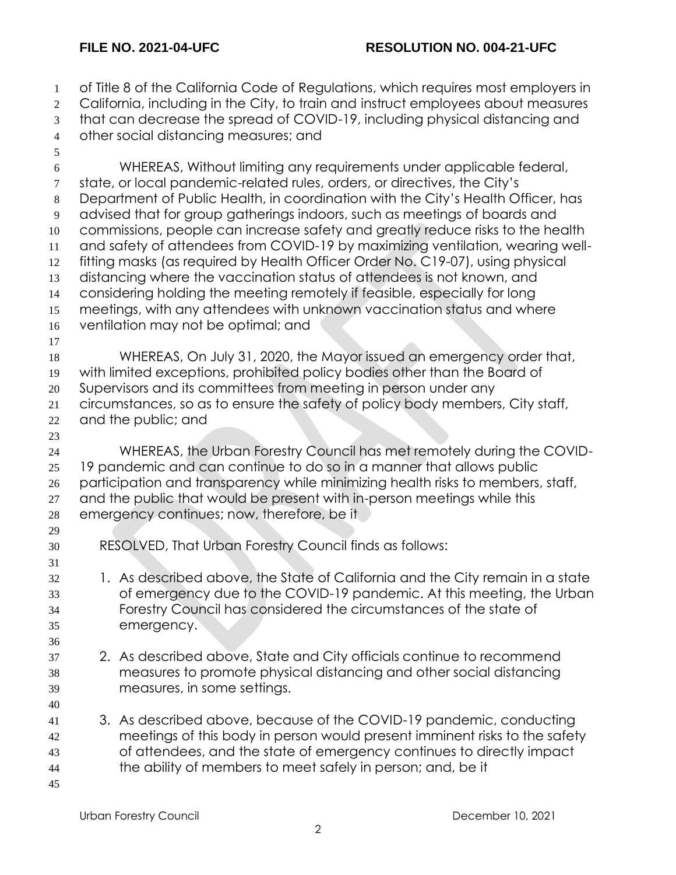of Title 8 of the California Code of Regulations, which requires most employers in 2 California, including in the City, to train and instruct employees about measures that can decrease the spread of COVID-19, including physical distancing and other social distancing measures; and WHEREAS, Without limiting any requirements under applicable federal, state, or local pandemic-related rules, orders, or directives, the City's Department of Public Health, in coordination with the City's Health Officer, has advised that for group gatherings indoors, such as meetings of boards and commissions, people can increase safety and greatly reduce risks to the health and safety of attendees from COVID-19 by maximizing ventilation, wearing well- fitting masks (as required by Health Officer Order No. C19-07), using physical distancing where the vaccination status of attendees is not known, and considering holding the meeting remotely if feasible, especially for long meetings, with any attendees with unknown vaccination status and where ventilation may not be optimal; and WHEREAS, On July 31, 2020, the Mayor issued an emergency order that, with limited exceptions, prohibited policy bodies other than the Board of Supervisors and its committees from meeting in person under any circumstances, so as to ensure the safety of policy body members, City staff, and the public; and WHEREAS, the Urban Forestry Council has met remotely during the COVID- 19 pandemic and can continue to do so in a manner that allows public participation and transparency while minimizing health risks to members, staff, 27 and the public that would be present with in-person meetings while this emergency continues; now, therefore, be it RESOLVED, That Urban Forestry Council finds as follows: 1. As described above, the State of California and the City remain in a state of emergency due to the COVID-19 pandemic. At this meeting, the Urban Forestry Council has considered the circumstances of the state of emergency. 2. As described above, State and City officials continue to recommend measures to promote physical distancing and other social distancing measures, in some settings. 3. As described above, because of the COVID-19 pandemic, conducting meetings of this body in person would present imminent risks to the safety of attendees, and the state of emergency continues to directly impact the ability of members to meet safely in person; and, be it